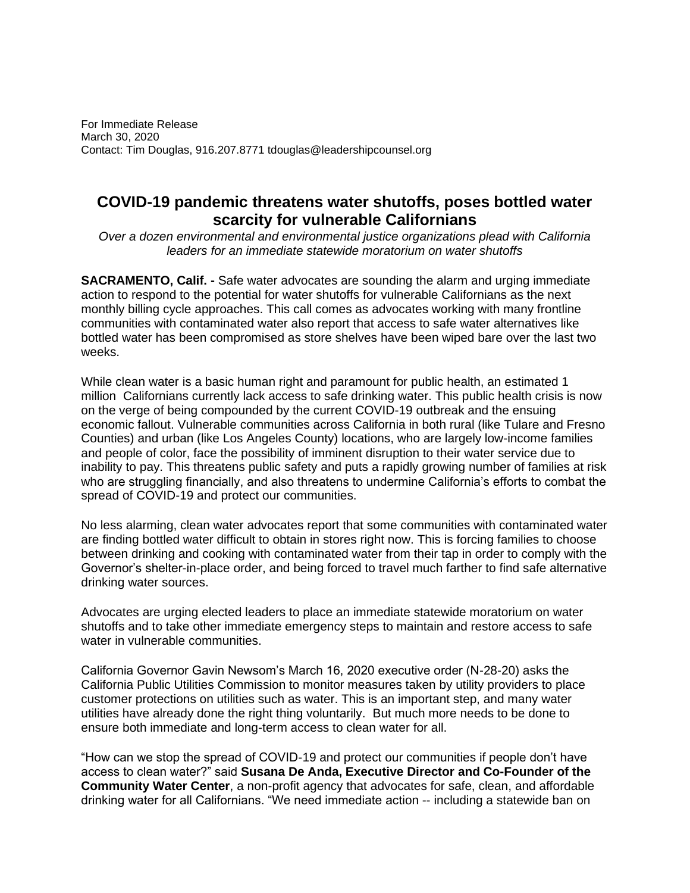For Immediate Release March 30, 2020 Contact: Tim Douglas, 916.207.8771 tdouglas@leadershipcounsel.org

## **COVID-19 pandemic threatens water shutoffs, poses bottled water scarcity for vulnerable Californians**

*Over a dozen environmental and environmental justice organizations plead with California leaders for an immediate statewide moratorium on water shutoffs*

**SACRAMENTO, Calif. -** Safe water advocates are sounding the alarm and urging immediate action to respond to the potential for water shutoffs for vulnerable Californians as the next monthly billing cycle approaches. This call comes as advocates working with many frontline communities with contaminated water also report that access to safe water alternatives like bottled water has been compromised as store shelves have been wiped bare over the last two weeks.

While clean water is a basic human right and paramount for public health, an estimated 1 million Californians currently lack access to safe drinking water. This public health crisis is now on the verge of being compounded by the current COVID-19 outbreak and the ensuing economic fallout. Vulnerable communities across California in both rural (like Tulare and Fresno Counties) and urban (like Los Angeles County) locations, who are largely low-income families and people of color, face the possibility of imminent disruption to their water service due to inability to pay. This threatens public safety and puts a rapidly growing number of families at risk who are struggling financially, and also threatens to undermine California's efforts to combat the spread of COVID-19 and protect our communities.

No less alarming, clean water advocates report that some communities with contaminated water are finding bottled water difficult to obtain in stores right now. This is forcing families to choose between drinking and cooking with contaminated water from their tap in order to comply with the Governor's shelter-in-place order, and being forced to travel much farther to find safe alternative drinking water sources.

Advocates are urging elected leaders to place an immediate statewide moratorium on water shutoffs and to take other immediate emergency steps to maintain and restore access to safe water in vulnerable communities.

California Governor Gavin Newsom's March 16, 2020 executive order (N-28-20) asks the California Public Utilities Commission to monitor measures taken by utility providers to place customer protections on utilities such as water. This is an important step, and many water utilities have already done the right thing voluntarily. But much more needs to be done to ensure both immediate and long-term access to clean water for all.

"How can we stop the spread of COVID-19 and protect our communities if people don't have access to clean water?" said **Susana De Anda, Executive Director and Co-Founder of the Community Water Center**, a non-profit agency that advocates for safe, clean, and affordable drinking water for all Californians. "We need immediate action -- including a statewide ban on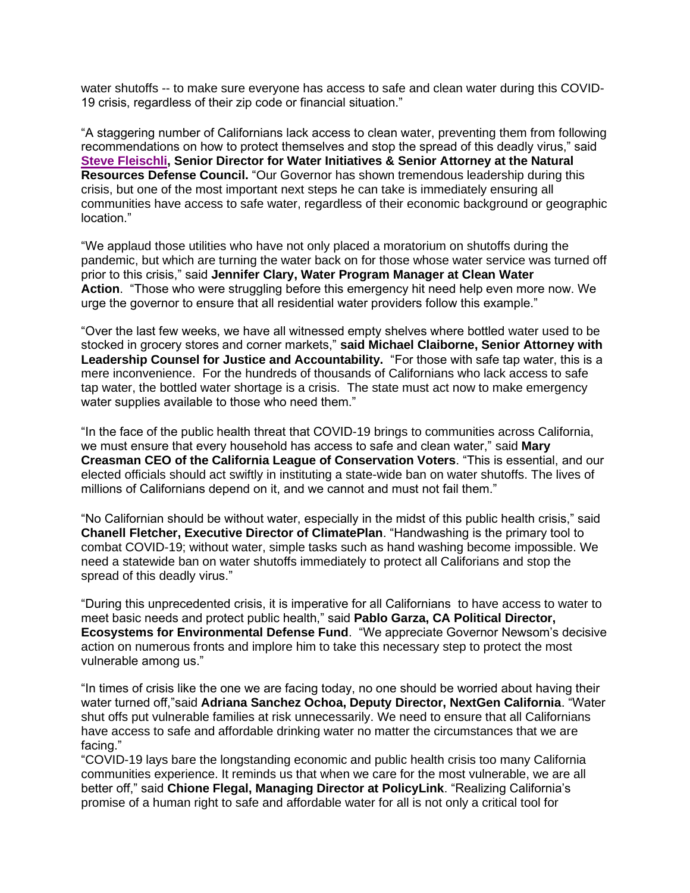water shutoffs -- to make sure everyone has access to safe and clean water during this COVID-19 crisis, regardless of their zip code or financial situation."

"A staggering number of Californians lack access to clean water, preventing them from following recommendations on how to protect themselves and stop the spread of this deadly virus," said **[Steve Fleischli,](https://www.nrdc.org/experts/steve-fleischli) Senior Director for Water Initiatives & Senior Attorney at the Natural Resources Defense Council.** "Our Governor has shown tremendous leadership during this crisis, but one of the most important next steps he can take is immediately ensuring all communities have access to safe water, regardless of their economic background or geographic location."

"We applaud those utilities who have not only placed a moratorium on shutoffs during the pandemic, but which are turning the water back on for those whose water service was turned off prior to this crisis," said **Jennifer Clary, Water Program Manager at Clean Water Action**. "Those who were struggling before this emergency hit need help even more now. We urge the governor to ensure that all residential water providers follow this example."

"Over the last few weeks, we have all witnessed empty shelves where bottled water used to be stocked in grocery stores and corner markets," **said Michael Claiborne, Senior Attorney with Leadership Counsel for Justice and Accountability.** "For those with safe tap water, this is a mere inconvenience. For the hundreds of thousands of Californians who lack access to safe tap water, the bottled water shortage is a crisis. The state must act now to make emergency water supplies available to those who need them."

"In the face of the public health threat that COVID-19 brings to communities across California, we must ensure that every household has access to safe and clean water," said **Mary Creasman CEO of the California League of Conservation Voters**. "This is essential, and our elected officials should act swiftly in instituting a state-wide ban on water shutoffs. The lives of millions of Californians depend on it, and we cannot and must not fail them."

"No Californian should be without water, especially in the midst of this public health crisis," said **Chanell Fletcher, Executive Director of ClimatePlan**. "Handwashing is the primary tool to combat COVID-19; without water, simple tasks such as hand washing become impossible. We need a statewide ban on water shutoffs immediately to protect all Califorians and stop the spread of this deadly virus."

"During this unprecedented crisis, it is imperative for all Californians to have access to water to meet basic needs and protect public health," said **Pablo Garza, CA Political Director, Ecosystems for Environmental Defense Fund**. "We appreciate Governor Newsom's decisive action on numerous fronts and implore him to take this necessary step to protect the most vulnerable among us."

"In times of crisis like the one we are facing today, no one should be worried about having their water turned off,"said **Adriana Sanchez Ochoa, Deputy Director, NextGen California**. "Water shut offs put vulnerable families at risk unnecessarily. We need to ensure that all Californians have access to safe and affordable drinking water no matter the circumstances that we are facing."

"COVID-19 lays bare the longstanding economic and public health crisis too many California communities experience. It reminds us that when we care for the most vulnerable, we are all better off," said **Chione Flegal, Managing Director at PolicyLink**. "Realizing California's promise of a human right to safe and affordable water for all is not only a critical tool for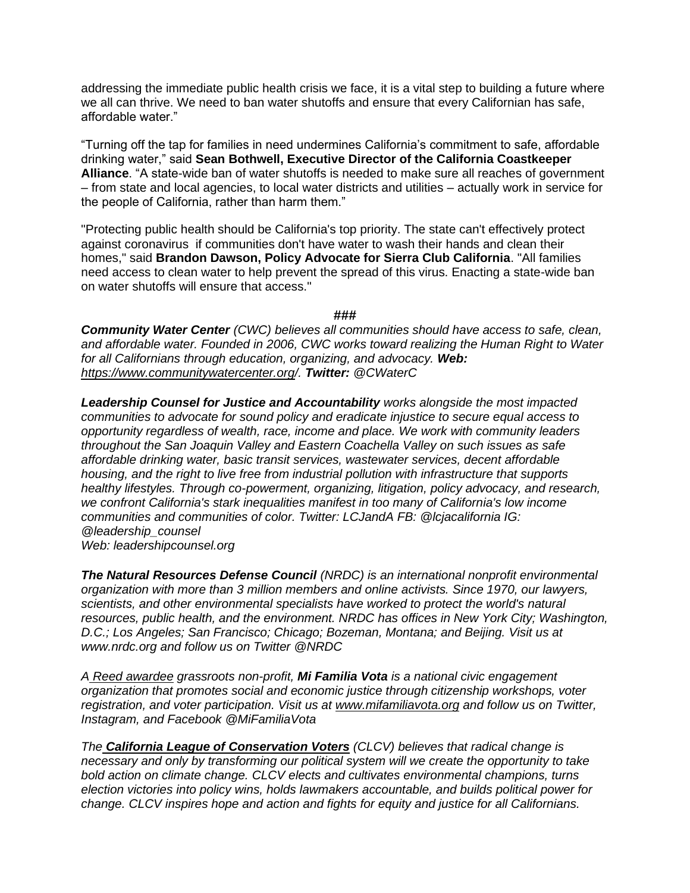addressing the immediate public health crisis we face, it is a vital step to building a future where we all can thrive. We need to ban water shutoffs and ensure that every Californian has safe, affordable water."

"Turning off the tap for families in need undermines California's commitment to safe, affordable drinking water," said **Sean Bothwell, Executive Director of the California Coastkeeper Alliance**. "A state-wide ban of water shutoffs is needed to make sure all reaches of government – from state and local agencies, to local water districts and utilities – actually work in service for the people of California, rather than harm them."

"Protecting public health should be California's top priority. The state can't effectively protect against coronavirus if communities don't have water to wash their hands and clean their homes," said **Brandon Dawson, Policy Advocate for Sierra Club California**. "All families need access to clean water to help prevent the spread of this virus. Enacting a state-wide ban on water shutoffs will ensure that access."

## *###*

*Community Water Center (CWC) believes all communities should have access to safe, clean, and affordable water. Founded in 2006, CWC works toward realizing the Human Right to Water for all Californians through education, organizing, and advocacy. Web: <https://www.communitywatercenter.org/>. Twitter: @CWaterC*

*Leadership Counsel for Justice and Accountability works alongside the most impacted communities to advocate for sound policy and eradicate injustice to secure equal access to opportunity regardless of wealth, race, income and place. We work with community leaders throughout the San Joaquin Valley and Eastern Coachella Valley on such issues as safe affordable drinking water, basic transit services, wastewater services, decent affordable housing, and the right to live free from industrial pollution with infrastructure that supports healthy lifestyles. Through co-powerment, organizing, litigation, policy advocacy, and research, we confront California's stark inequalities manifest in too many of California's low income communities and communities of color. Twitter: LCJandA FB: @lcjacalifornia IG: @leadership\_counsel*

*Web: leadershipcounsel.org*

*The Natural Resources Defense Council (NRDC) is an international nonprofit environmental organization with more than 3 million members and online activists. Since 1970, our lawyers, scientists, and other environmental specialists have worked to protect the world's natural resources, public health, and the environment. NRDC has offices in New York City; Washington, D.C.; Los Angeles; San Francisco; Chicago; Bozeman, Montana; and Beijing. Visit us at www.nrdc.org and follow us on Twitter @NRDC*

*A [Reed awardee](https://www.mifamiliavota.org/news/reed-awards-presented-to-mi-familia-vota/) grassroots non-profit, Mi Familia Vota is a national civic engagement organization that promotes social and economic justice through citizenship workshops, voter registration, and voter participation. Visit us at [www.mifamiliavota.org](http://www.mifamiliavota.org/) and follow us on Twitter, Instagram, and Facebook @MiFamiliaVota*

*The [California League of Conservation Voters](https://www.ecovote.org/) (CLCV) believes that radical change is necessary and only by transforming our political system will we create the opportunity to take bold action on climate change. CLCV elects and cultivates environmental champions, turns election victories into policy wins, holds lawmakers accountable, and builds political power for change. CLCV inspires hope and action and fights for equity and justice for all Californians.*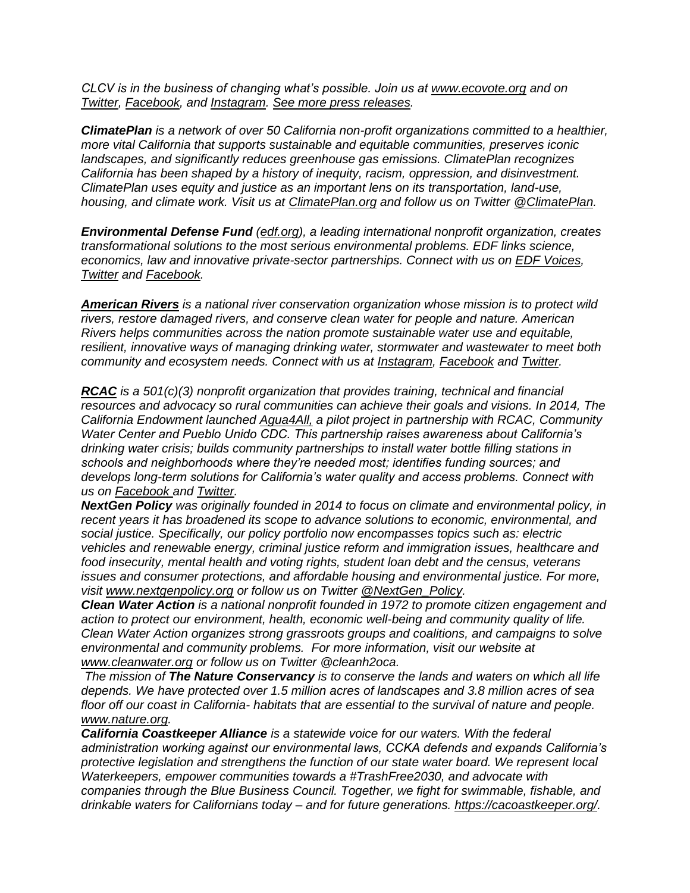*CLCV is in the business of changing what's possible. Join us at [www.ecovote.org](https://www.ecovote.org/) and on [Twitter,](https://twitter.com/clcv) [Facebook,](https://www.facebook.com/ecovote) and [Instagram.](https://www.instagram.com/clcvoters/) [See more press releases.](https://www.ecovote.org/category/press-releases/)*

*ClimatePlan is a network of over 50 California non-profit organizations committed to a healthier, more vital California that supports sustainable and equitable communities, preserves iconic landscapes, and significantly reduces greenhouse gas emissions. ClimatePlan recognizes California has been shaped by a history of inequity, racism, oppression, and disinvestment. ClimatePlan uses equity and justice as an important lens on its transportation, land-use, housing, and climate work. Visit us at [ClimatePlan.org](http://climateplan.org/) and follow us on Twitter [@ClimatePlan.](https://twitter.com/climateplan)*

*Environmental Defense Fund [\(edf.org\)](https://www.edf.org/), a leading international nonprofit organization, creates transformational solutions to the most serious environmental problems. EDF links science, economics, law and innovative private-sector partnerships. Connect with us on [EDF Voices,](http://www.edf.org/blog) [Twitter](http://twitter.com/EnvDefenseFund) and [Facebook.](http://facebook.com/EnvDefenseFund)*

*[American Rivers](http://americanrivers.org/) is a national river conservation organization whose mission is to protect wild rivers, restore damaged rivers, and conserve clean water for people and nature. American Rivers helps communities across the nation promote sustainable water use and equitable, resilient, innovative ways of managing drinking water, stormwater and wastewater to meet both community and ecosystem needs. Connect with us at [Instagram,](https://www.instagram.com/americanrivers/) [Facebook](https://www.facebook.com/AmericanRivers/) and [Twitter.](https://twitter.com/americanrivers)*

*[RCAC](https://www.rcac.org/) is a 501(c)(3) nonprofit organization that provides training, technical and financial resources and advocacy so rural communities can achieve their goals and visions. In 2014, The California Endowment launched [Agua4All,](https://www.rcac.org/environmental/agua4all/) a pilot project in partnership with RCAC, Community Water Center and Pueblo Unido CDC. This partnership raises awareness about California's drinking water crisis; builds community partnerships to install water bottle filling stations in schools and neighborhoods where they're needed most; identifies funding sources; and develops long-term solutions for California's water quality and access problems. Connect with us on [Facebook a](https://www.facebook.com/RCAC.org/)nd [Twitter.](https://twitter.com/rcacorg)*

*NextGen Policy was originally founded in 2014 to focus on climate and environmental policy, in recent years it has broadened its scope to advance solutions to economic, environmental, and social justice. Specifically, our policy portfolio now encompasses topics such as: electric vehicles and renewable energy, criminal justice reform and immigration issues, healthcare and food insecurity, mental health and voting rights, student loan debt and the census, veterans issues and consumer protections, and affordable housing and environmental justice. For more, visit [www.nextgenpolicy.org](http://www.nextgenpolicy.org/) or follow us on Twitter [@NextGen\\_Policy.](https://twitter.com/NextGen_Policy)* 

*Clean Water Action is a national nonprofit founded in 1972 to promote citizen engagement and action to protect our environment, health, economic well-being and community quality of life. Clean Water Action organizes strong grassroots groups and coalitions, and campaigns to solve environmental and community problems. For more information, visit our website at [www.cleanwater.org](http://www.cleanwater.org/) or follow us on Twitter @cleanh2oca.* 

*The mission of The Nature Conservancy is to conserve the lands and waters on which all life depends. We have protected over 1.5 million acres of landscapes and 3.8 million acres of sea floor off our coast in California- habitats that are essential to the survival of nature and people. [www.nature.org.](http://www.nature.org/)*

*California Coastkeeper Alliance is a statewide voice for our waters. With the federal administration working against our environmental laws, CCKA defends and expands California's protective legislation and strengthens the function of our state water board. We represent local Waterkeepers, empower communities towards a #TrashFree2030, and advocate with companies through the Blue Business Council. Together, we fight for swimmable, fishable, and drinkable waters for Californians today – and for future generations. [https://cacoastkeeper.org/.](https://cacoastkeeper.org/)*